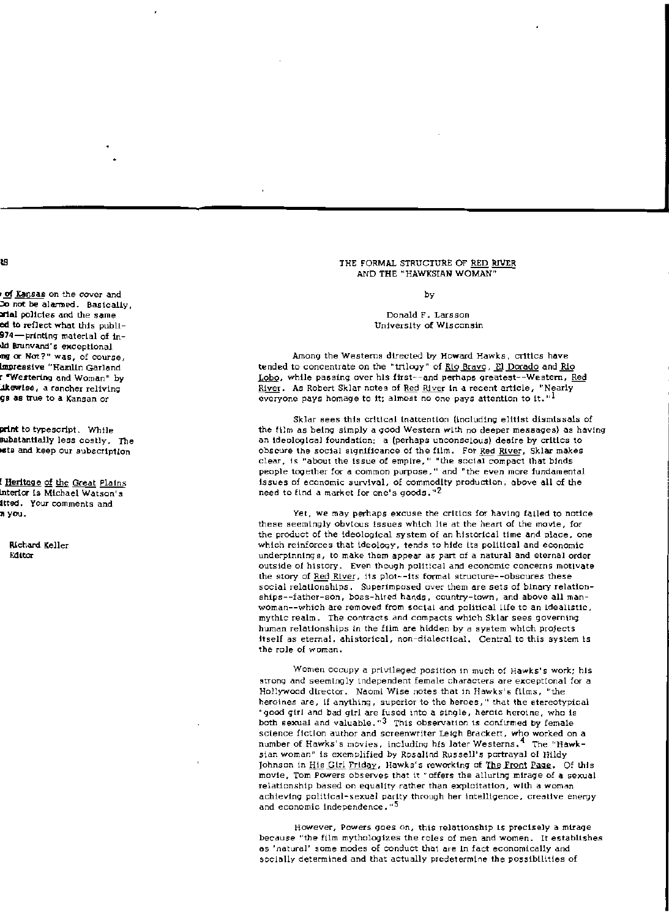## THE FORMAL STRUCTURE OF RED RIVER AND THE "HAWKSIAN WOMAN"

by

## Donald F. Larsson University of Wisconsin

Among the Westerns directed by Howard Hawks, critics have tended to concentrate on the "trilogy" of Rio Bravo, El Dorado and Rio Lobo, while passing over his first--and perhaps greatest--Western, Red River. As Robert Sklar notes of Red River in a recent article, "Nearly everyone pays homage to it; almost no one pays attention to it,  $^{\mathrm{n1}}$ 

Sklar sees this critical inattention (including elitist dismissals of the film as being simply a good Western with no deeper messages) as having an ideological foundation: a (perhaps unconscious) desire by critics to obscure the social significance of the film. For Red River, Sklar makes clear, is "about the issue of empire," "the social compact that binds people together for a common purpose," and "the even more fundamental issues of economic survival, of commodity production, above all of the need to find a market for one's goods."<sup>2</sup>

Yet, we may perhaps excuse the critics for having failed to notice these seemingly obvious issues which lie at the heart of the movie, for the product of the ideological system of an historical time and place, one which reinforces that ideology, tends to hide its political and economic underpinnings, to make them appear as part of a natural and eternal order outside of history. Even though political and economic concerns motivate the story of Red River, its plot--its formal structure--obscures these social relationships. Superimposed over them are sets of binary relationships--father-son, boss-hired hands, country-town, and above all manwoman--which are removed from social and political life to an Idealistic. mythic realm. The contracts and compacts which Sklar sees governing human relationships in the film are hidden by a system which projects itself as eternal, ahistorical, non-dialectical, Central to this system is the role of woman.

Women occupy a privileged position in much of Hawks's work; his strong and seemingly independent female characters are exceptional for a Hollywood director. Naomi Wise notes that in Hawks's films, "the heroines are, if anything, superior to the heroes," that the stereotypical "good girl and bad girl are fused into a single, heroic heroine, who is both sexual and valuable."<sup>3</sup> This observation is confirmed by female science fiction author and screenwriter Leigh Brackett, who worked on a number of Hawks's movies, including his later Westerns,<sup>4</sup> The "Hawksian woman" is exemplified by Rosalind Russell's portrayal of Hildy Johnson in His Girl Friday, Hawks's reworking of The Front Page. Of this movie, Tom Powers observes that it "offers the alluring mirage of a sexual relationship based on equality rather than exploitation, with a woman achieving political-sexual parity through her intelligence, creative energy and economic independence."<sup>5</sup>

However, Powers goes on, this relationship is precisely a mirage because "the film mythologizes the roles of men and women. It establishes as 'natural' some modes of conduct that are in fact economically and socially determined and that actually predetermine the possibilities of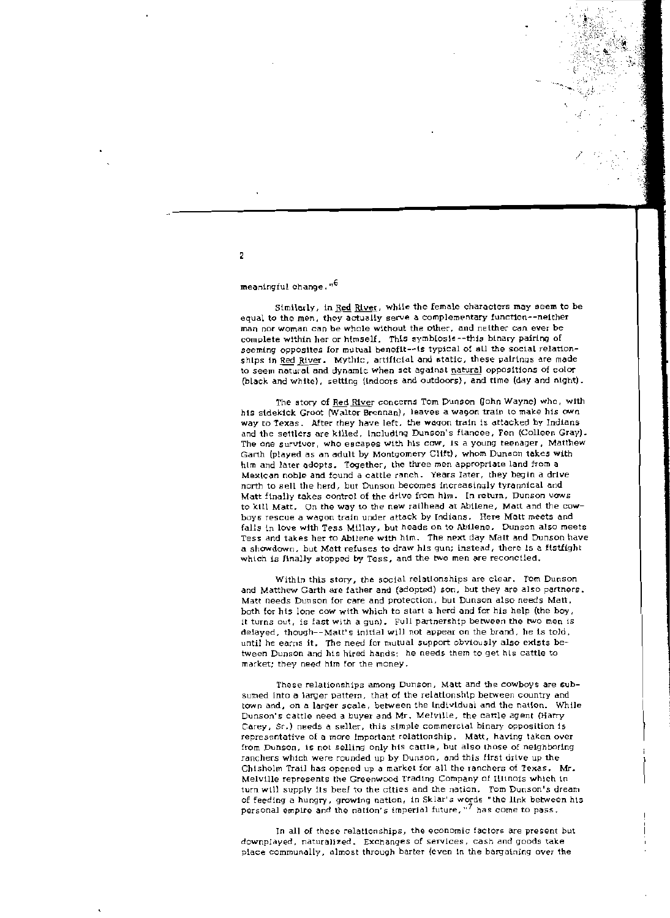## meaningful change."<sup>6</sup>

Similarly, in Red River, while the female characters may seem to be equal to the men, they actually serve a complementary function--neither man nor woman can be whole without the other, and neither can ever be complete within her or himself. This symbiosis--this binary pairing of seeming opposites for mutual beneflt--ts typical of all the social relationships in Red River. Mythic, artificial and static, these pairings are made to seem natural and dynamic when set against natural oppositions of color (black and white), setting (indoors and outdoors), and time (day and night).

The story of Red River concerns Tom Dunson Gohn Wayne) who, with hts sidekick Groot (Walter Brennan), leaves a wagon train to make his own way to Texas. After they have left, the wagon train is attacked by Indians and the settlers are killed, Including Dunson's fiancee, Fen (Colleen Gray). The one survivor, who escapes with his cow, is a young teenager, Matthew Garth (played as an adult by Montgomery Clift), whom Dunson takes with hIm and larer adopts. Together, the tltree men approprtare land from a Mexican noble and found a cattle ranch. Years later, they begin a drive north to sell the herd, but Dunson becomes increasingly tyrannical and Matt finally takes control of the drive from him. In return, Dunson vaws to kill Matt. On the way to the new railhead at Abilene, Matt and the cowboys rescue a wagon train under attack by Indians. Here Matt meets and falls in love with Tess Millay, but heads on to Abilene, Dunson also meets Tess and takes her to Abilene with him, The next day Matt and Dunson have a showdown, but Matt refuses to draw his gun; instead, there is a fistfight which is finally stopped by Tess, and the two men are reconciled.

Within this story, the social relationships are clear. Tom Dunson and Matthew Garth are father and (adopted) son, but they are also partners. Matt needs Dunson for care and protection, but Dunson also needs Matt, both lor his lone cow with Which to start a herd and for his help (the boy, it turns out, is fast with a gun). Full partnership between the two men is delayed, though--Matt's initial will not appear on the brand, he Is told, until he earns it. The need for mutual support obviously also exists between Dunson and his hired hands: he needs them to get hts cattle to market; they need him for the money.

These relationships among Dunson, Matt and the cowboys are subsumed into a larger pattern, that of the relationship between country and town and, on a larger scale, between the Individual and the nation. While Dunson's cattle need a buyer and Mr. MelVille, the cattle agent [Harry Carey, Sr,) needs a saller, this simple commercial binary opposition 15 representative of a more Important relationship, Matt, having laken over from Dunson, is not selling only his cattle, but also those of neighboring ranchers which were rounded up by Dunson, and this first drive up the Chisholm Trail has opened up a market for all the ranchers oi Texas, Mr. Melville represents the Greenwood Trading Company of IllinOis which in turn will supply its beef to the cities and the nation. Tom Dunson's dream of feeding a hungry, growing nation, in Sklar's words "the link between his personal empire and the nation's imperial future,  $\frac{1}{7}$  has come to pass.

In all of these relationships, the economic factors are present but downplayed, naturalized. Exchanges of services, cash and goods take place communally, almost through barter (even in the bargaining over the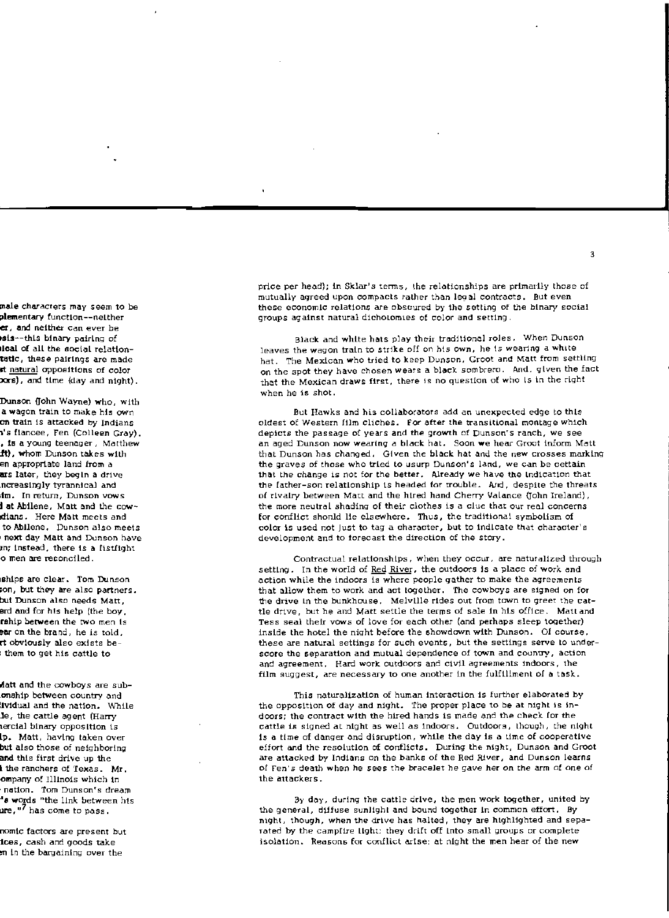price per head); In Sklar's terms, the relationships are primarily those of mutually agreed upon compacts rather than legal contracts. But even these economic relations are obscured by the setting of the binary social groups against natural dichotomies ot color and setting.

Black and white hats play their traditional roles. When Dunson leaves the wagon train to strike off on his own, he is wearing a white hat. The Mexican who tried to keep Dunson. Groot and Matt from settling on the spot they have chosen wears a block sombrero. And. given the fact that the Mexican draws first, there is no question of who Is in the right when he is shot,

But Hawks and his collaborators add an unexpected edge to this oldest of Western film cliches. For after the transitional montage which depicts the passage of years and the growth of Dunson's ranch, we see an aged Dunson now wearing a black hat. Soon we hear Groot inform Matt that Dunson has changed, Given the black hat and the new crosses marking the graves of those who tried to usurp Dunson's land, we can be cettain that the change is not for the better. Already we have the Indication that the father-son relationship is headed for trouble. And, despite the threats of rivalry between Matt and the hired hand Cherry Valance (John Ireland), the more neutral shading of their clothes is a clue that our real concerns for conflict shonld lie elsewhere. Thus, the traditional symbolism of color is used not Just to tag a character, but to indicate that character's development and to forecast the direction of the story.

Contractual relationships, when they occur, are naturalized through setting. In the world of Red River, the outdoors is a place of work and action while the indoors is where people gather to make the agreements that allow them to work and act together. The cowboys are signed on for the drive In the bunkhouse. Melville rides out from town to greet the cattle drive, but he and Matt settle the terms of sale in his office. Matt and Tess seal their vows of love for each other (and perhaps sleep together) inside the hotel the night before the showdown with Dunson, Of course. these are natural settings for such events, but the settings serve to underscore the separation and mutual dependence of town and country, action and agreement. Hard work outdoors and civil agreements indoors, the film suggest, are necessary to one another in the fulfillment of a task.

This naturalization of human interaction is further elaborated by the opposition of day and night. The proper place to be at night is indoors; the contract with the hired hands is made and the check for the cattle is signed at night as well as indoors. Outdoors, though, the night is a time of danger and disruption, while the day is a time of cooperative effort and the resolution of conflicts. During the night, Dunson and Groot are attacked by Indians on the banks of the Red River, and Dunson learns of Fen's death when he sees the bracelet he gave her on the arm of one of the attackers.

By day, during the cattle drive, the men work together, united by the general, diffuse sunlight and bound together in common effort. By night, though, when the drive has halted, they are highlighted and separated by the campfire light: they drift off Into small groups or complete isolation. Reagons for conflict arIse; at night the men hear of the new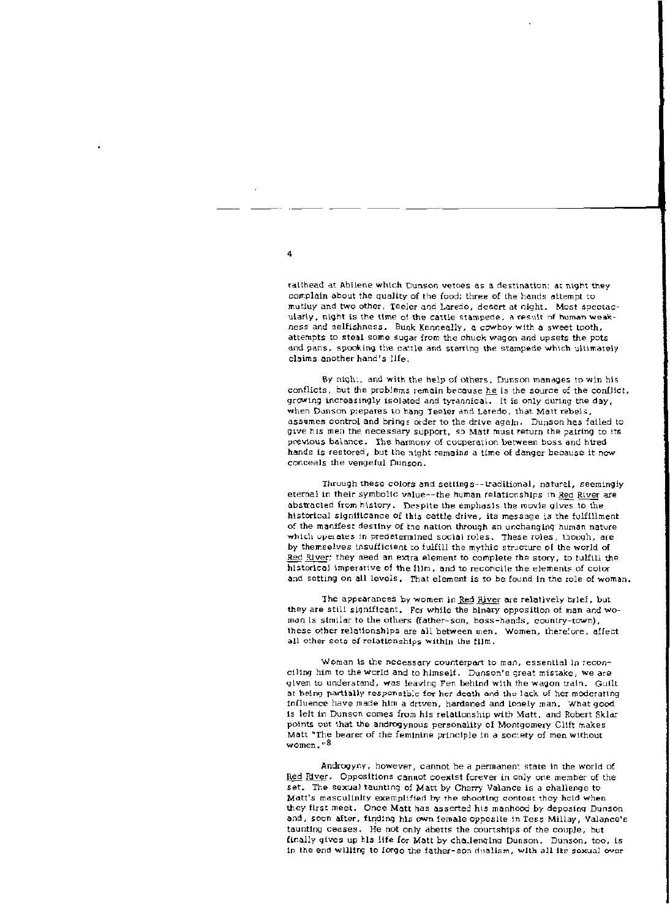railhead at Abilene which Dunson vetoes as a destination; at night they complain about the quality of the food; three of the hands attempt to mutiuy and two other, Teeler and Laredo, desert at night. Most spectacularly, night is the time of the cattle stampede, a result of human weakness and selfishness. Bunk Kenneally, a cowboy with a sweet tooth, attempts to steal some sugar from the chuck wagon and upsets the pots and pans, spooking the cattle and starting the stampede which ultimately claims another hand's life.

By night, and with the help of others, Dunson manages to win his conflicts, but the problems remain because he is the source of the conflict, growing increasingly isolated and tyrannical. It is only during the day, when Dunson prepares to hang Teeler and Laredo, that Matt rebels. assumes control and brings order to the drive again. Dunson has failed to give his men the necessary support, so Matt must return the pairing to its previous balance. The harmony of cooperation between boss and htred hands is restored, but the night remains a time of danger because it now conceals the vengeful Dunson.

Through these colors and settings--traditional, natural, seemingly eternal in their symbolic value--the human relationships in Red River are abstracted from history. Despite the emphasis the movie gives to the historical significance of this cattle drive, its message is the fulfillment of the manifest destiny of the nation through an unchanging human nature which operates in predetermined social roles. These roles, though, are by themselves insufficient to fulfill the mythic structure of the world of Red River; they need an extra element to complete the story, to fulfill the historical imperative of the film, and to reconcile the elements of color and setting on all levels. That element is to be found in the role of woman.

The appearances by women in Red River are relatively brief, but they are still significant. For while the binary opposition of man and woman is similar to the others (father-son, boss-hands, country-town), these other relationships are all between men. Women, therefore, affect all other sets of relationships within the film.

Woman is the necessary counterpart to man, essential in reconciling him to the world and to himself. Dunson's great mistake, we are given to understand, was leaving Fen behind with the wagon train. Guilt at being partially responsible for her death and the lack of her moderating influence have made him a driven, hardened and lonely man. What good is left in Dunson comes from his relationship with Matt, and Robert Sklar points out that the androgynous personality of Montgomery Clift makes Matt "The bearer of the feminine principle in a society of men without women."<sup>8</sup>

Androgyny, however, cannot be a permanent state in the world of Red River. Oppositions cannot coexist forever in only one member of the set. The sexual taunting of Matt by Cherry Valance is a challenge to Matt's masculinity examplified by the shooting contost they hold when they first meet. Once Matt has asserted his manhood by deposing Dunson and, soon after, finding his own female opposite in Tess Millay, Valance's taunting ceases. He not only abetts the courtships of the couple, but finally gives up his life for Matt by challenging Dunson, Dunson, too, is in the end willing to forgo the father-son dualism, with all its sexual over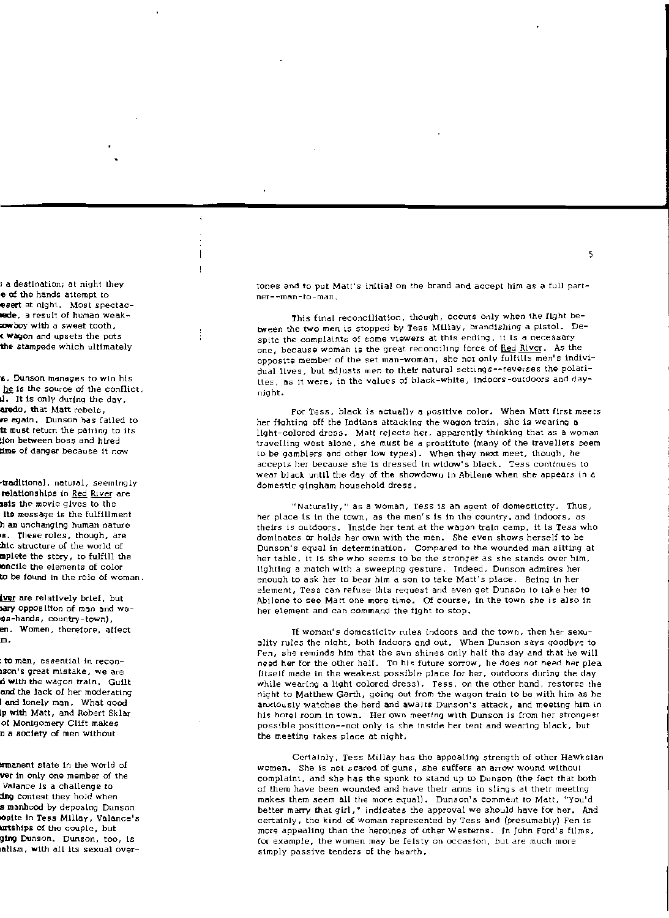tones and to put Matt's initial on the brand and accept him as a full partner--man-to-man.

This final reconciliation, though, occurs only when the fight between the two men is stopped by Tess Millay, brandishing a pistol. Despite the complaints of some viewers at this ending, it is a necessary one, because woman is the great reconciling force of Red River. As the opposite member of the set man-woman, she not only fulfills men's individual lives, but adjusts men to their natural settings--reverses the polarities, as it were, in the values of black-white, indoors-outdoors and daynight.

For Tess, black is actually a positive color. When Matt first meets her fighting off the Indians attacking the wagon train, she is wearing a light-colored dress. Matt rejects her, apparently thinking that as a woman travelling west alone, she must be a prostitute (many of the travellers seem to be gamblers and other low types). When they next meet, though, he accepts her because she is dressed in widow's black. Tess continues to wear black until the day of the showdown in Abilene when she appears in a domestic aingham household dress.

"Naturally," as a woman, Tess is an agent of domesticity. Thus, her place is in the town, as the men's is in the country, and indoors, as theirs is outdoors. Inside her tent at the wagon train camp, it is Tess who dominates or holds her own with the men. She even shows herself to be Dunson's equal in determination. Compared to the wounded man sitting at her table, it is she who seems to be the stronger as she stands over him, Highting a match with a sweeping gesture. Indeed, Dunson admires her enough to ask her to bear him a son to take Matt's place. Being in her element, Tess can refuse this request and even get Dunson to take her to Abilene to see Matt one more time. Of course, in the town she is also in her element and can command the fight to stop.

If woman's domesticity rules indoors and the town, then her sexuality rules the night, both indoors and out. When Dunson says goodbye to Fen, she reminds him that the sun shines only half the day and that he will need her for the other half. To his future sorrow, he does not heed her plea (itself made in the weakest possible place for her, outdoors during the day while wearing a light colored dress). Tess, on the other hand, restores the night to Matthew Garth, going out from the wagon train to be with him as he anxiously watches the herd and awalts Dunson's attack, and meeting him in his hotel room in town. Her own meeting with Dunson is from her strongest possible position--not only is she inside her tent and wearing black, but the meeting takes place at night.

Certainly, Tess Millay has the appealing strength of other Hawkslan women. She is not scared of guns, she suffers an arrow wound without complaint, and she has the spunk to stand up to Dunson (the fact that both of them have been wounded and have their arms in slings at their meeting makes them seem all the more equal). Dunson's comment to Matt, "You'd better marry that girl," indicates the approval we should have for her. And certainly, the kind of woman represented by Tess and (presumably) Fen is more appealing than the heroines of other Westerns. In John Ford's films, for example, the women may be felsty on occasion, but are much more simply passive tenders of the hearth.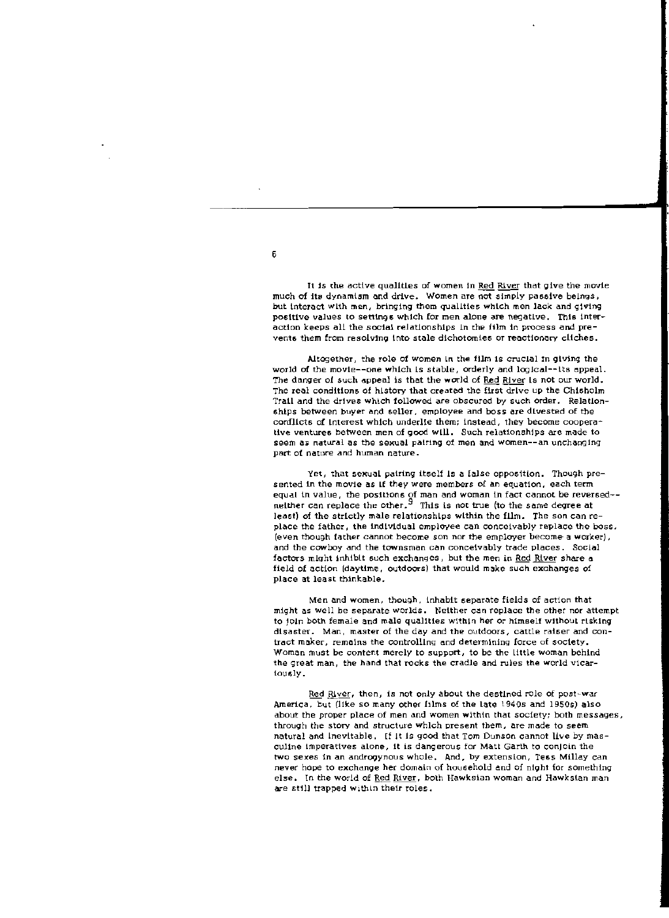It is the active qualities of women in Red River that give the movie much of its dynamism and drive. Women are not simply passive beings, but interact with men, bringing them qualities which men lack and giving positive values to settings which for men alone are negative. This interaction keeps all the social relationships in the film in process and prevents them from resolving into stale dichotomies or reactionary cliches.

Altogether, the role of women in the film is crucial in giving the world of the movie--one which is stable, orderly and logical--its appeal. The danger of such appeal is that the world of Red River is not our world. The real conditions of history that created the first drive up the Chisholm Trail and the drives which followed are obscured by such order. Relationships between buyer and seller, employee and boss are divested of the conflicts of interest which underlie them; instead, they become cooperative ventures between men of good will. Such relationships are made to seem as natural as the sexual pairing of men and women--an unchanging part of nature and human nature.

Yet, that sexual pairing itself is a false opposition. Though presented in the movie as if they were members of an equation, each term equal in value, the positions of man and woman in fact cannot be reversed -neither can replace the other. $^9$  This is not true (to the same degree at least) of the strictly male relationships within the film. The son can replace the father, the individual employee can conceivably replace the boss. (even though father cannot become son nor the employer become a worker), and the cowboy and the townsman can conceivably trade places. Social factors might inhibit such exchanges, but the men in Red River share a field of action (daytime, outdoors) that would make such exchanges of place at least thinkable.

Men and women, though, inhabit separate fields of action that might as well be separate worlds. Neither can replace the other nor attempt to join both female and male qualities within her or himself without risking disaster. Man, master of the day and the outdoors, cattle raiser and contract maker, remains the controlling and determining force of society. Woman must be content merely to support, to be the little woman behind the great man, the hand that rocks the cradle and rules the world vicarlously.

Red River, then, is not only about the destined role of post-war America, but (like so many other films of the late 1940s and 1950s) also about the proper place of men and women within that society; both messages, through the story and structure which present them, are made to seem natural and Inevitable. If it is good that Tom Dunson cannot live by masculine imperatives alone, it is dangerous for Matt Garth to conjoin the two sexes in an androgynous whole. And, by extension, Tess Millay can never hope to exchange her domain of household and of night for something else. In the world of Red River, both Hawksian woman and Hawksian man are still trapped within their roles.